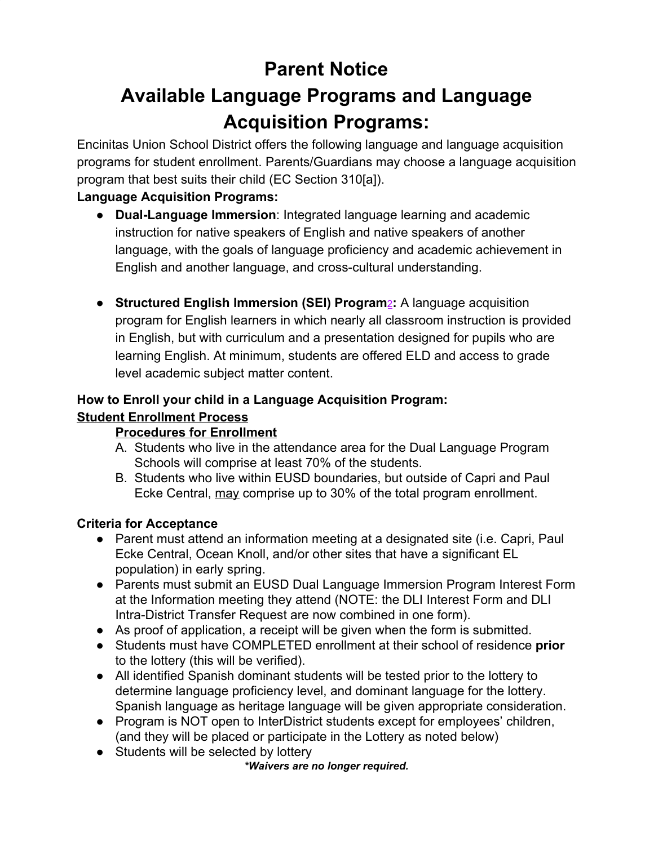# **Parent Notice**

# **Available Language Programs and Language Acquisition Programs:**

Encinitas Union School District offers the following language and language acquisition programs for student enrollment. Parents/Guardians may choose a language acquisition program that best suits their child (EC Section 310[a]).

# **Language Acquisition Programs:**

- **Dual-Language Immersion**: Integrated language learning and academic instruction for native speakers of English and native speakers of another language, with the goals of language proficiency and academic achievement in English and another language, and cross-cultural understanding.
- **Structured English Immersion (SEI) Program**[2](https://www.cde.ca.gov/sp/el/t3/languageacquisition.asp#two)**:** A language acquisition program for English learners in which nearly all classroom instruction is provided in English, but with curriculum and a presentation designed for pupils who are learning English. At minimum, students are offered ELD and access to grade level academic subject matter content.

#### **How to Enroll your child in a Language Acquisition Program: Student Enrollment Process**

# **Procedures for Enrollment**

- A. Students who live in the attendance area for the Dual Language Program Schools will comprise at least 70% of the students.
- B. Students who live within EUSD boundaries, but outside of Capri and Paul Ecke Central, may comprise up to 30% of the total program enrollment.

# **Criteria for Acceptance**

- Parent must attend an information meeting at a designated site (i.e. Capri, Paul Ecke Central, Ocean Knoll, and/or other sites that have a significant EL population) in early spring.
- Parents must submit an EUSD Dual Language Immersion Program Interest Form at the Information meeting they attend (NOTE: the DLI Interest Form and DLI Intra-District Transfer Request are now combined in one form).
- As proof of application, a receipt will be given when the form is submitted.
- Students must have COMPLETED enrollment at their school of residence **prior** to the lottery (this will be verified).
- All identified Spanish dominant students will be tested prior to the lottery to determine language proficiency level, and dominant language for the lottery. Spanish language as heritage language will be given appropriate consideration.
- Program is NOT open to InterDistrict students except for employees' children, (and they will be placed or participate in the Lottery as noted below)
- Students will be selected by lottery

*\*Waivers are no longer required.*